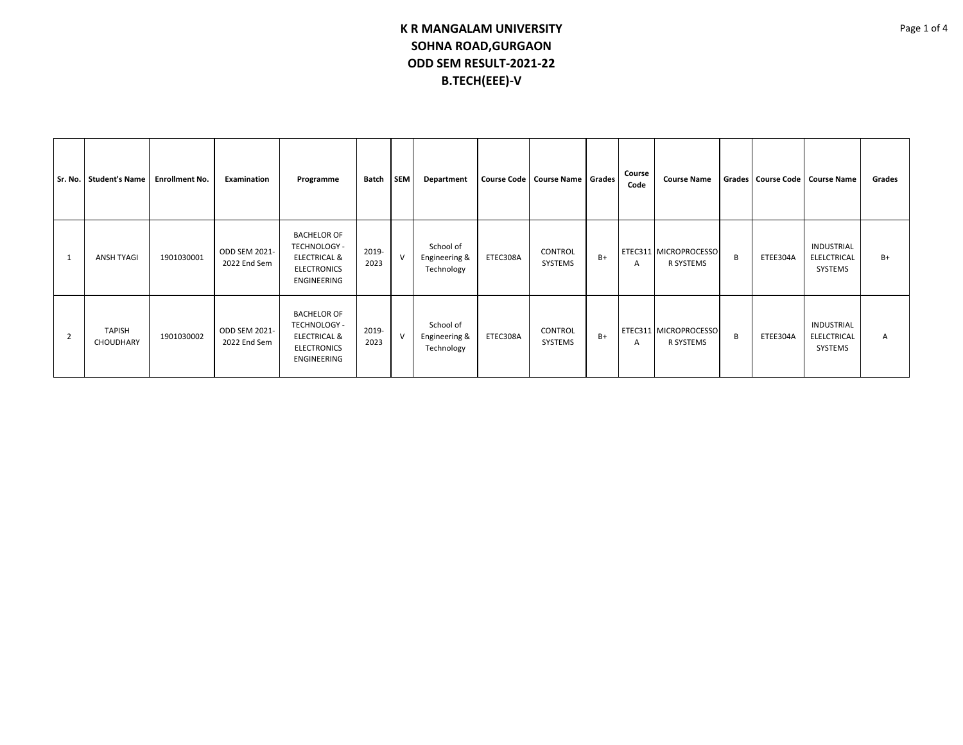| Sr. No.        | <b>Student's Name</b>             | <b>Enrollment No.</b> | <b>Examination</b>            | Programme                                                                                          | Batch         | <b>SEM</b>   | Department                               |          | Course Code   Course Name   Grades |      | Course<br>Code | <b>Course Name</b>                 |              |          | Grades   Course Code   Course Name          | Grades |
|----------------|-----------------------------------|-----------------------|-------------------------------|----------------------------------------------------------------------------------------------------|---------------|--------------|------------------------------------------|----------|------------------------------------|------|----------------|------------------------------------|--------------|----------|---------------------------------------------|--------|
| -1             | <b>ANSH TYAGI</b>                 | 1901030001            | ODD SEM 2021-<br>2022 End Sem | <b>BACHELOR OF</b><br>TECHNOLOGY -<br><b>ELECTRICAL &amp;</b><br><b>ELECTRONICS</b><br>ENGINEERING | 2019-<br>2023 | $\mathsf{V}$ | School of<br>Engineering &<br>Technology | ETEC308A | CONTROL<br>SYSTEMS                 | $B+$ | Α              | ETEC311 MICROPROCESSO<br>R SYSTEMS | <sup>B</sup> | ETEE304A | <b>INDUSTRIAL</b><br>ELELCTRICAL<br>SYSTEMS | B+     |
| $\overline{2}$ | <b>TAPISH</b><br><b>CHOUDHARY</b> | 1901030002            | ODD SEM 2021-<br>2022 End Sem | <b>BACHELOR OF</b><br>TECHNOLOGY -<br><b>ELECTRICAL &amp;</b><br><b>ELECTRONICS</b><br>ENGINEERING | 2019-<br>2023 | $\vee$       | School of<br>Engineering &<br>Technology | ETEC308A | CONTROL<br>SYSTEMS                 | $B+$ | Α              | ETEC311 MICROPROCESSO<br>R SYSTEMS | B            | ETEE304A | INDUSTRIAL<br>ELELCTRICAL<br>SYSTEMS        | Α      |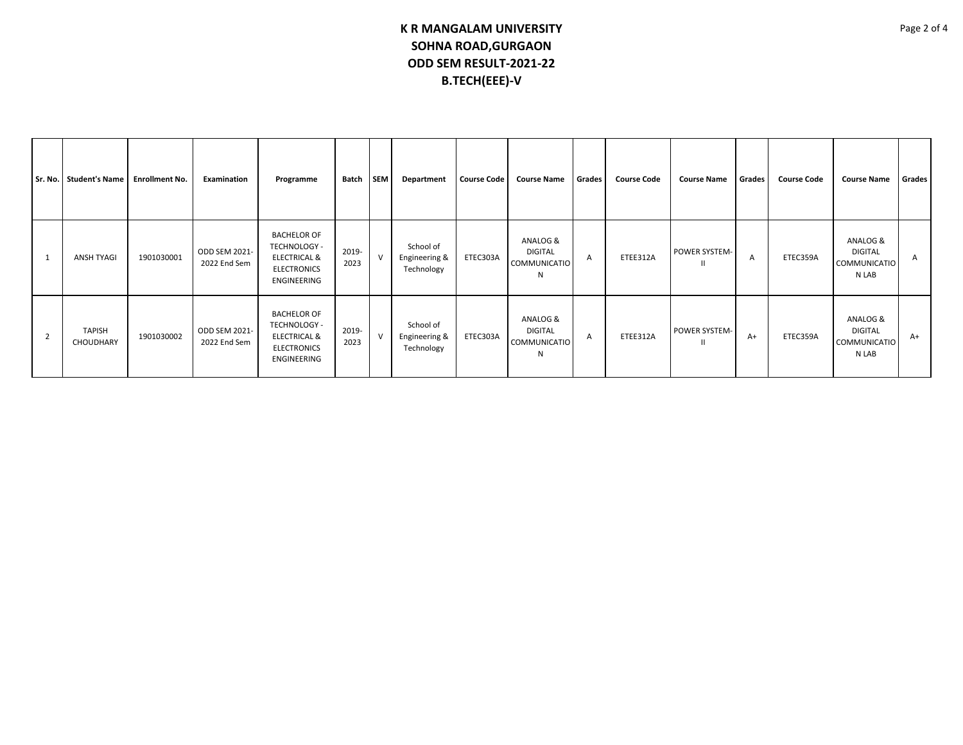| Sr. No.        | <b>Student's Name</b>      | <b>Enrollment No.</b> | Examination                   | Programme                                                                                                 | Batch         | <b>SEM</b> | Department                               | <b>Course Code</b> | <b>Course Name</b>                              | Grades       | <b>Course Code</b> | <b>Course Name</b> | Grades | <b>Course Code</b> | <b>Course Name</b>                                  | Grades |
|----------------|----------------------------|-----------------------|-------------------------------|-----------------------------------------------------------------------------------------------------------|---------------|------------|------------------------------------------|--------------------|-------------------------------------------------|--------------|--------------------|--------------------|--------|--------------------|-----------------------------------------------------|--------|
| 1              | <b>ANSH TYAGI</b>          | 1901030001            | ODD SEM 2021-<br>2022 End Sem | <b>BACHELOR OF</b><br><b>TECHNOLOGY -</b><br><b>ELECTRICAL &amp;</b><br><b>ELECTRONICS</b><br>ENGINEERING | 2019-<br>2023 | V          | School of<br>Engineering &<br>Technology | ETEC303A           | ANALOG &<br><b>DIGITAL</b><br>COMMUNICATIO<br>N | A            | ETEE312A           | POWER SYSTEM-      | A      | ETEC359A           | ANALOG &<br><b>DIGITAL</b><br>COMMUNICATIO<br>N LAB | A      |
| $\overline{2}$ | <b>TAPISH</b><br>CHOUDHARY | 1901030002            | ODD SEM 2021-<br>2022 End Sem | <b>BACHELOR OF</b><br>TECHNOLOGY -<br><b>ELECTRICAL &amp;</b><br><b>ELECTRONICS</b><br>ENGINEERING        | 2019-<br>2023 | V          | School of<br>Engineering &<br>Technology | ETEC303A           | ANALOG &<br><b>DIGITAL</b><br>COMMUNICATIO<br>N | $\mathsf{A}$ | ETEE312A           | POWER SYSTEM-      | $A+$   | ETEC359A           | ANALOG &<br><b>DIGITAL</b><br>COMMUNICATIO<br>N LAB | $A+$   |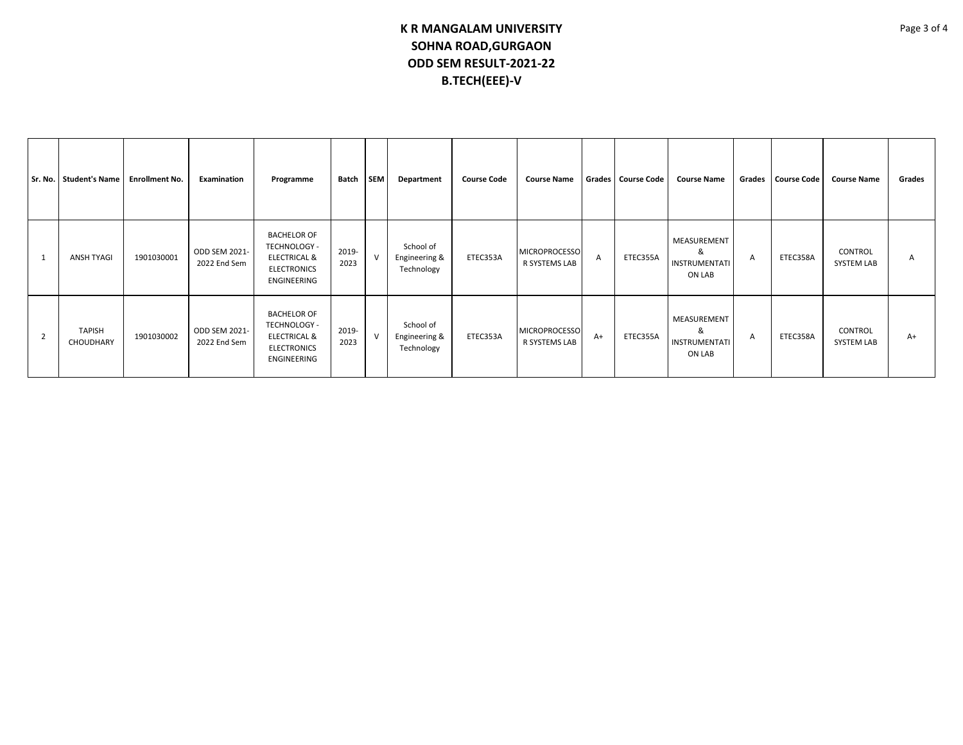| Sr. No. | <b>Student's Name</b>      | <b>Enrollment No.</b> | <b>Examination</b>            | Programme                                                                                          | Batch         | <b>SEM</b> | Department                               | <b>Course Code</b> | <b>Course Name</b>                    | Grades | Course Code | <b>Course Name</b>                          | Grades | <b>Course Code</b> | <b>Course Name</b>           | Grades |
|---------|----------------------------|-----------------------|-------------------------------|----------------------------------------------------------------------------------------------------|---------------|------------|------------------------------------------|--------------------|---------------------------------------|--------|-------------|---------------------------------------------|--------|--------------------|------------------------------|--------|
|         | ANSH TYAGI                 | 1901030001            | ODD SEM 2021-<br>2022 End Sem | <b>BACHELOR OF</b><br>TECHNOLOGY -<br><b>ELECTRICAL &amp;</b><br><b>ELECTRONICS</b><br>ENGINEERING | 2019-<br>2023 | <b>V</b>   | School of<br>Engineering &<br>Technology | ETEC353A           | <b>MICROPROCESSO</b><br>R SYSTEMS LAB | A      | ETEC355A    | MEASUREMENT<br>&<br>INSTRUMENTATI<br>ON LAB | A      | ETEC358A           | CONTROL<br><b>SYSTEM LAB</b> | A      |
| 2       | <b>TAPISH</b><br>CHOUDHARY | 1901030002            | ODD SEM 2021-<br>2022 End Sem | <b>BACHELOR OF</b><br>TECHNOLOGY -<br><b>ELECTRICAL &amp;</b><br><b>ELECTRONICS</b><br>ENGINEERING | 2019-<br>2023 | <b>V</b>   | School of<br>Engineering &<br>Technology | ETEC353A           | <b>MICROPROCESSO</b><br>R SYSTEMS LAB | $A+$   | ETEC355A    | MEASUREMENT<br>&<br>INSTRUMENTATI<br>ON LAB | A      | ETEC358A           | CONTROL<br><b>SYSTEM LAB</b> | $A+$   |